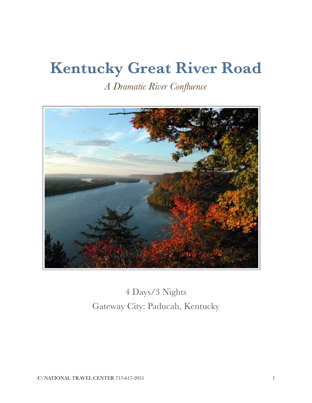# **Kentucky Great River Road**

*A Dramatic River Confluence*



4 Days/3 Nights Gateway City: Paducah, Kentucky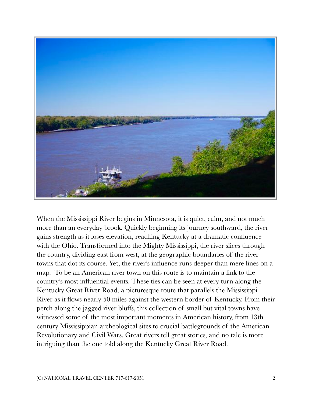

When the Mississippi River begins in Minnesota, it is quiet, calm, and not much more than an everyday brook. Quickly beginning its journey southward, the river gains strength as it loses elevation, reaching Kentucky at a dramatic confluence with the Ohio. Transformed into the Mighty Mississippi, the river slices through the country, dividing east from west, at the geographic boundaries of the river towns that dot its course. Yet, the river's influence runs deeper than mere lines on a map. To be an American river town on this route is to maintain a link to the country's most influential events. These ties can be seen at every turn along the Kentucky Great River Road, a picturesque route that parallels the Mississippi River as it flows nearly 50 miles against the western border of Kentucky. From their perch along the jagged river bluffs, this collection of small but vital towns have witnessed some of the most important moments in American history, from 13th century Mississippian archeological sites to crucial battlegrounds of the American Revolutionary and Civil Wars. Great rivers tell great stories, and no tale is more intriguing than the one told along the Kentucky Great River Road.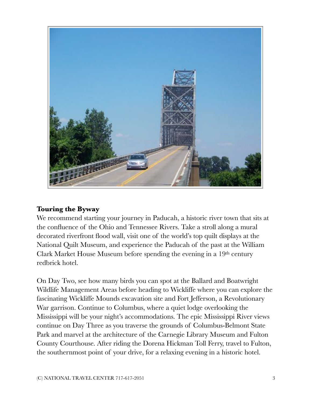

#### **Touring the Byway**

We recommend starting your journey in Paducah, a historic river town that sits at the confluence of the Ohio and Tennessee Rivers. Take a stroll along a mural decorated riverfront flood wall, visit one of the world's top quilt displays at the National Quilt Museum, and experience the Paducah of the past at the William Clark Market House Museum before spending the evening in a  $19<sup>th</sup>$  century redbrick hotel.

On Day Two, see how many birds you can spot at the Ballard and Boatwright Wildlife Management Areas before heading to Wickliffe where you can explore the fascinating Wickliffe Mounds excavation site and Fort Jefferson, a Revolutionary War garrison. Continue to Columbus, where a quiet lodge overlooking the Mississippi will be your night's accommodations. The epic Mississippi River views continue on Day Three as you traverse the grounds of Columbus-Belmont State Park and marvel at the architecture of the Carnegie Library Museum and Fulton County Courthouse. After riding the Dorena Hickman Toll Ferry, travel to Fulton, the southernmost point of your drive, for a relaxing evening in a historic hotel.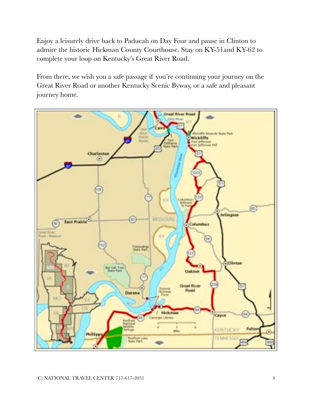Enjoy a leisurely drive back to Paducah on Day Four and pause in Clinton to admire the historic Hickman County Courthouse. Stay on KY-51and KY-62 to complete your loop on Kentucky's Great River Road.

From there, we wish you a safe passage if you're continuing your journey on the Great River Road or another Kentucky Scenic Byway, or a safe and pleasant journey home.

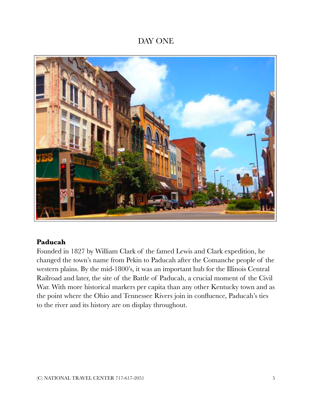# DAY ONE



#### **Paducah**

Founded in 1827 by William Clark of the famed Lewis and Clark expedition, he changed the town's name from Pekin to Paducah after the Comanche people of the western plains. By the mid-1800's, it was an important hub for the Illinois Central Railroad and later, the site of the Battle of Paducah, a crucial moment of the Civil War. With more historical markers per capita than any other Kentucky town and as the point where the Ohio and Tennessee Rivers join in confluence, Paducah's ties to the river and its history are on display throughout.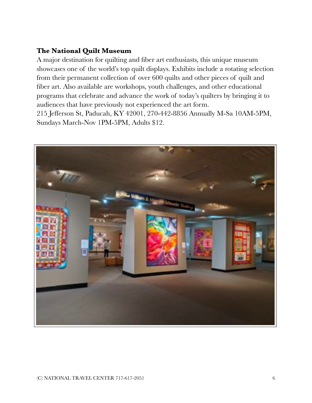# **The National Quilt Museum**

A major destination for quilting and fiber art enthusiasts, this unique museum showcases one of the world's top quilt displays. Exhibits include a rotating selection from their permanent collection of over 600 quilts and other pieces of quilt and fiber art. Also available are workshops, youth challenges, and other educational programs that celebrate and advance the work of today's quilters by bringing it to audiences that have previously not experienced the art form. 215 Jefferson St, Paducah, KY 42001, 270-442-8856 Annually M-Sa 10AM-5PM,

Sundays March-Nov 1PM-5PM, Adults \$12.

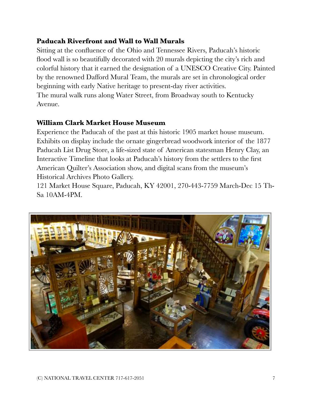## **Paducah Riverfront and Wall to Wall Murals**

Sitting at the confluence of the Ohio and Tennessee Rivers, Paducah's historic flood wall is so beautifully decorated with 20 murals depicting the city's rich and colorful history that it earned the designation of a UNESCO Creative City. Painted by the renowned Dafford Mural Team, the murals are set in chronological order beginning with early Native heritage to present-day river activities. The mural walk runs along Water Street, from Broadway south to Kentucky Avenue.

#### **William Clark Market House Museum**

Experience the Paducah of the past at this historic 1905 market house museum. Exhibits on display include the ornate gingerbread woodwork interior of the 1877 Paducah List Drug Store, a life-sized state of American statesman Henry Clay, an Interactive Timeline that looks at Paducah's history from the settlers to the first American Quilter's Association show, and digital scans from the museum's Historical Archives Photo Gallery.

121 Market House Square, Paducah, KY 42001, 270-443-7759 March-Dec 15 Th-Sa 10AM-4PM.

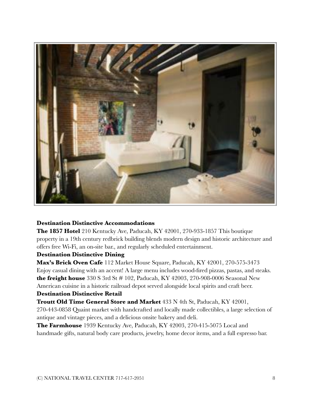

#### **Destination Distinctive Accommodations**

**The 1857 Hotel** 210 Kentucky Ave, Paducah, KY 42001, 270-933-1857 This boutique property in a 19th century redbrick building blends modern design and historic architecture and offers free Wi-Fi, an on-site bar., and regularly scheduled entertainment.

#### **Destination Distinctive Dining**

**Max's Brick Oven Cafe** 112 Market House Square, Paducah, KY 42001, 270-575-3473 Enjoy casual dining with an accent! A large menu includes wood-fired pizzas, pastas, and steaks. **the freight house** 330 S 3rd St # 102, Paducah, KY 42003, 270-908-0006 Seasonal New American cuisine in a historic railroad depot served alongside local spirits and craft beer.

#### **Destination Distinctive Retail**

**Troutt Old Time General Store and Market** 433 N 4th St, Paducah, KY 42001, 270-443-0858 Quaint market with handcrafted and locally made collectibles, a large selection of antique and vintage pieces, and a delicious onsite bakery and deli.

**The Farmhouse** 1939 Kentucky Ave, Paducah, KY 42003, 270-415-5075 Local and handmade gifts, natural body care products, jewelry, home decor items, and a full espresso bar.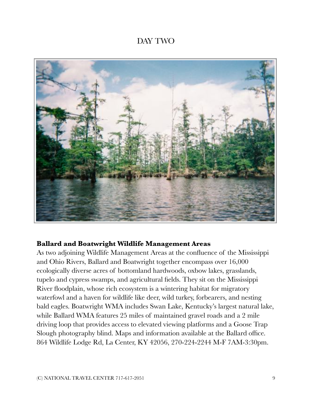# DAY TWO



#### **Ballard and Boatwright Wildlife Management Areas**

As two adjoining Wildlife Management Areas at the confluence of the Mississippi and Ohio Rivers, Ballard and Boatwright together encompass over 16,000 ecologically diverse acres of bottomland hardwoods, oxbow lakes, grasslands, tupelo and cypress swamps, and agricultural fields. They sit on the Mississippi River floodplain, whose rich ecosystem is a wintering habitat for migratory waterfowl and a haven for wildlife like deer, wild turkey, forbearers, and nesting bald eagles. Boatwright WMA includes Swan Lake, Kentucky's largest natural lake, while Ballard WMA features 25 miles of maintained gravel roads and a 2 mile driving loop that provides access to elevated viewing platforms and a Goose Trap Slough photography blind. Maps and information available at the Ballard office. 864 Wildlife Lodge Rd, La Center, KY 42056, 270-224-2244 M-F 7AM-3:30pm.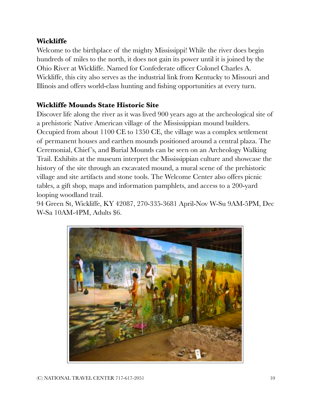# **Wickliffe**

Welcome to the birthplace of the mighty Mississippi! While the river does begin hundreds of miles to the north, it does not gain its power until it is joined by the Ohio River at Wickliffe. Named for Confederate officer Colonel Charles A. Wickliffe, this city also serves as the industrial link from Kentucky to Missouri and Illinois and offers world-class hunting and fishing opportunities at every turn.

## **Wickliffe Mounds State Historic Site**

Discover life along the river as it was lived 900 years ago at the archeological site of a prehistoric Native American village of the Mississippian mound builders. Occupied from about 1100 CE to 1350 CE, the village was a complex settlement of permanent houses and earthen mounds positioned around a central plaza. The Ceremonial, Chief 's, and Burial Mounds can be seen on an Archeology Walking Trail. Exhibits at the museum interpret the Mississippian culture and showcase the history of the site through an excavated mound, a mural scene of the prehistoric village and site artifacts and stone tools. The Welcome Center also offers picnic tables, a gift shop, maps and information pamphlets, and access to a 200-yard looping woodland trail.

94 Green St, Wickliffe, KY 42087, 270-335-3681 April-Nov W-Su 9AM-5PM, Dec W-Sa 10AM-4PM, Adults \$6.

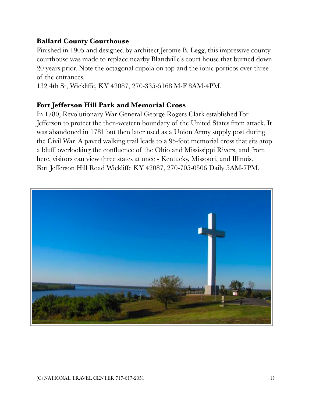## **Ballard County Courthouse**

Finished in 1905 and designed by architect Jerome B. Legg, this impressive county courthouse was made to replace nearby Blandville's court house that burned down 20 years prior. Note the octagonal cupola on top and the ionic porticos over three of the entrances.

132 4th St, Wickliffe, KY 42087, 270-335-5168 M-F 8AM-4PM.

#### **Fort Jefferson Hill Park and Memorial Cross**

In 1780, Revolutionary War General George Rogers Clark established For Jefferson to protect the then-western boundary of the United States from attack. It was abandoned in 1781 but then later used as a Union Army supply post during the Civil War. A paved walking trail leads to a 95-foot memorial cross that sits atop a bluff overlooking the confluence of the Ohio and Mississippi Rivers, and from here, visitors can view three states at once - Kentucky, Missouri, and Illinois. Fort Jefferson Hill Road Wickliffe KY 42087, 270-705-0506 Daily 5AM-7PM.

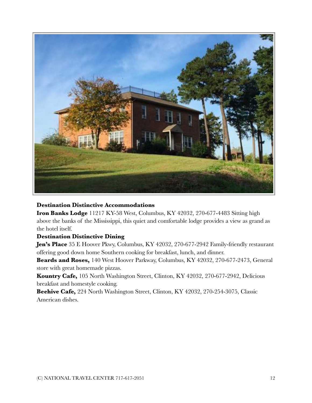

#### **Destination Distinctive Accommodations**

**Iron Banks Lodge** 11217 KY-58 West, Columbus, KY 42032, 270-677-4483 Sitting high above the banks of the Mississippi, this quiet and comfortable lodge provides a view as grand as the hotel itself.

#### **Destination Distinctive Dining**

**Jen's Place** 35 E Hoover Pkwy, Columbus, KY 42032, 270-677-2942 Family-friendly restaurant offering good down home Southern cooking for breakfast, lunch, and dinner.

**Beards and Roses,** 140 West Hoover Parkway, Columbus, KY 42032, 270-677-2473, General store with great homemade pizzas.

**Kountry Cafe,** 105 North Washington Street, Clinton, KY 42032, 270-677-2942, Delicious breakfast and homestyle cooking.

**Beehive Cafe,** 224 North Washington Street, Clinton, KY 42032, 270-254-3075, Classic American dishes.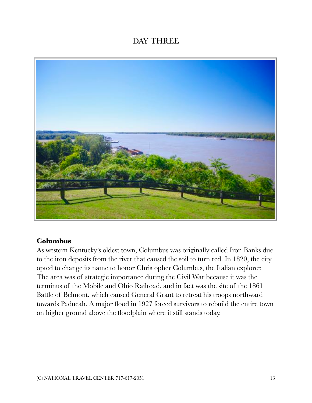# DAY THREE



#### **Columbus**

As western Kentucky's oldest town, Columbus was originally called Iron Banks due to the iron deposits from the river that caused the soil to turn red. In 1820, the city opted to change its name to honor Christopher Columbus, the Italian explorer. The area was of strategic importance during the Civil War because it was the terminus of the Mobile and Ohio Railroad, and in fact was the site of the 1861 Battle of Belmont, which caused General Grant to retreat his troops northward towards Paducah. A major flood in 1927 forced survivors to rebuild the entire town on higher ground above the floodplain where it still stands today.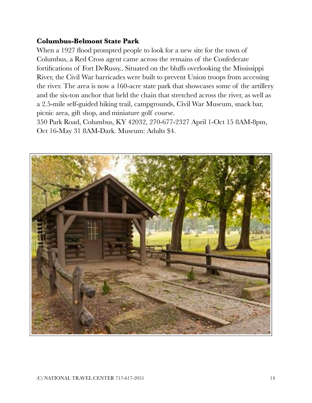## **Columbus-Belmont State Park**

When a 1927 flood prompted people to look for a new site for the town of Columbus, a Red Cross agent came across the remains of the Confederate fortifications of Fort DeRussy.. Situated on the bluffs overlooking the Mississippi River, the Civil War barricades were built to prevent Union troops from accessing the river. The area is now a 160-acre state park that showcases some of the artillery and the six-ton anchor that held the chain that stretched across the river, as well as a 2.5-mile self-guided hiking trail, campgrounds, Civil War Museum, snack bar, picnic area, gift shop, and miniature golf course.

350 Park Road, Columbus, KY 42032, 270-677-2327 April 1-Oct 15 8AM-8pm, Oct 16-May 31 8AM-Dark. Museum: Adults \$4.

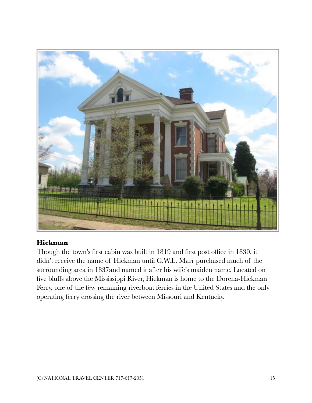

## **Hickman**

Though the town's first cabin was built in 1819 and first post office in 1830, it didn't receive the name of Hickman until G.W.L. Marr purchased much of the surrounding area in 1837and named it after his wife's maiden name. Located on five bluffs above the Mississippi River, Hickman is home to the Dorena-Hickman Ferry, one of the few remaining riverboat ferries in the United States and the only operating ferry crossing the river between Missouri and Kentucky.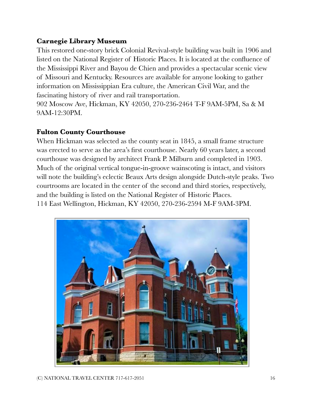# **Carnegie Library Museum**

This restored one-story brick Colonial Revival-style building was built in 1906 and listed on the National Register of Historic Places. It is located at the confluence of the Mississippi River and Bayou de Chien and provides a spectacular scenic view of Missouri and Kentucky. Resources are available for anyone looking to gather information on Mississippian Era culture, the American Civil War, and the fascinating history of river and rail transportation.

902 Moscow Ave, Hickman, KY 42050, 270-236-2464 T-F 9AM-5PM, Sa & M 9AM-12:30PM.

## **Fulton County Courthouse**

When Hickman was selected as the county seat in 1845, a small frame structure was erected to serve as the area's first courthouse. Nearly 60 years later, a second courthouse was designed by architect Frank P. Milburn and completed in 1903. Much of the original vertical tongue-in-groove wainscoting is intact, and visitors will note the building's eclectic Beaux Arts design alongside Dutch-style peaks. Two courtrooms are located in the center of the second and third stories, respectively, and the building is listed on the National Register of Historic Places. 114 East Wellington, Hickman, KY 42050, 270-236-2594 M-F 9AM-3PM.

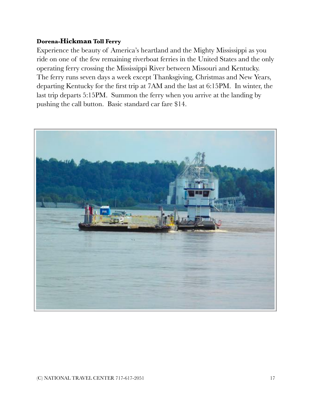#### **Dorena-Hickman Toll Ferry**

Experience the beauty of America's heartland and the Mighty Mississippi as you ride on one of the few remaining riverboat ferries in the United States and the only operating ferry crossing the Mississippi River between Missouri and Kentucky. The ferry runs seven days a week except Thanksgiving, Christmas and New Years, departing Kentucky for the first trip at 7AM and the last at 6:15PM. In winter, the last trip departs 5:15PM. Summon the ferry when you arrive at the landing by pushing the call button. Basic standard car fare \$14.

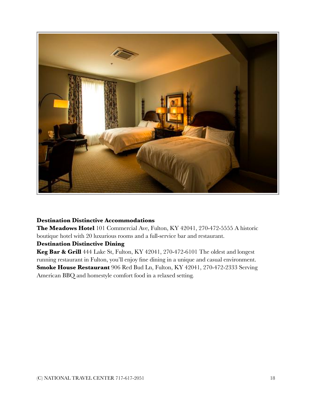

#### **Destination Distinctive Accommodations**

**The Meadows Hotel** 101 Commercial Ave, Fulton, KY 42041, 270-472-5555 A historic boutique hotel with 20 luxurious rooms and a full-service bar and restaurant.

#### **Destination Distinctive Dining**

**Keg Bar & Grill** 444 Lake St, Fulton, KY 42041, 270-472-6101 The oldest and longest running restaurant in Fulton, you'll enjoy fine dining in a unique and casual environment. **Smoke House Restaurant** 906 Red Bud Ln, Fulton, KY 42041, 270-472-2333 Serving American BBQ and homestyle comfort food in a relaxed setting.